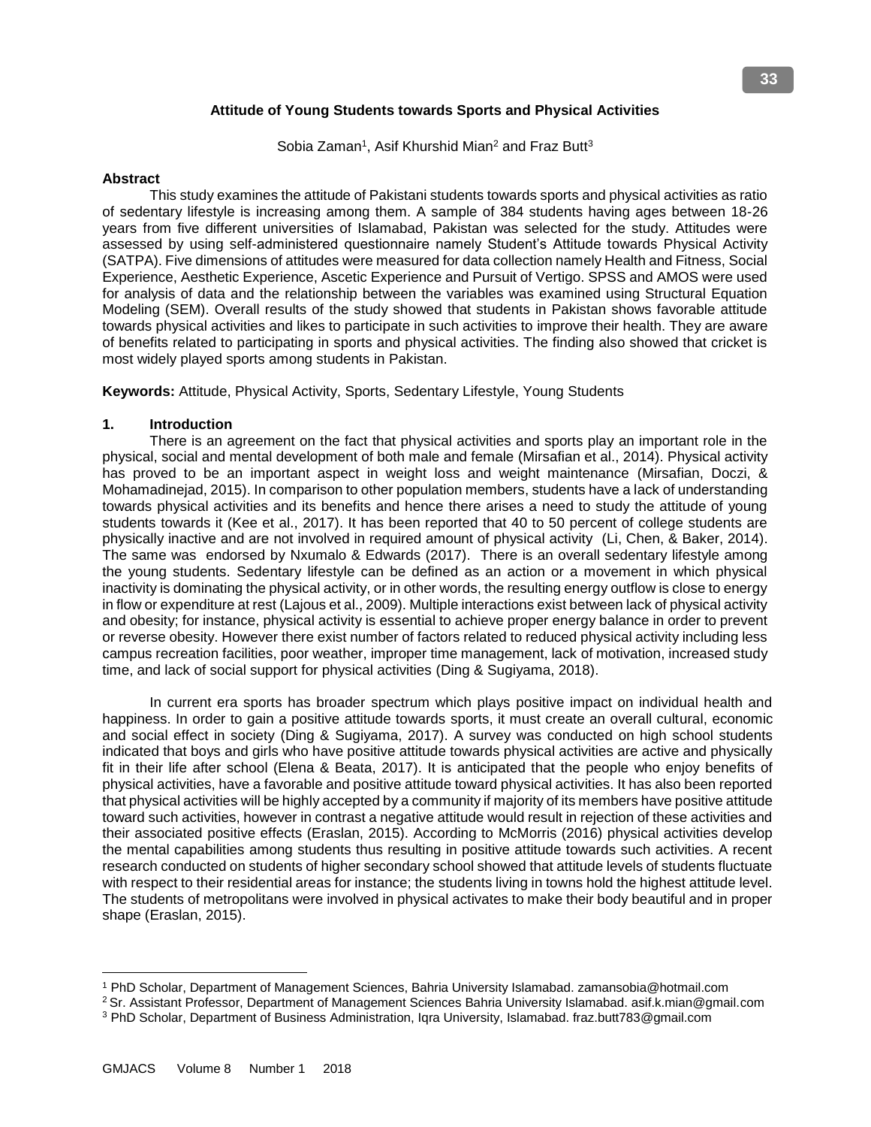# **Attitude of Young Students towards Sports and Physical Activities**

Sobia Zaman<sup>1</sup>, Asif Khurshid Mian<sup>2</sup> and Fraz Butt<sup>3</sup>

#### **Abstract**

 This study examines the attitude of Pakistani students towards sports and physical activities as ratio of sedentary lifestyle is increasing among them. A sample of 384 students having ages between 18-26 years from five different universities of Islamabad, Pakistan was selected for the study. Attitudes were assessed by using self-administered questionnaire namely Student's Attitude towards Physical Activity (SATPA). Five dimensions of attitudes were measured for data collection namely Health and Fitness, Social Experience, Aesthetic Experience, Ascetic Experience and Pursuit of Vertigo. SPSS and AMOS were used for analysis of data and the relationship between the variables was examined using Structural Equation Modeling (SEM). Overall results of the study showed that students in Pakistan shows favorable attitude towards physical activities and likes to participate in such activities to improve their health. They are aware of benefits related to participating in sports and physical activities. The finding also showed that cricket is most widely played sports among students in Pakistan.

**Keywords:** Attitude, Physical Activity, Sports, Sedentary Lifestyle, Young Students

# **1. Introduction**

 There is an agreement on the fact that physical activities and sports play an important role in the physical, social and mental development of both male and female (Mirsafian et al., 2014). Physical activity has proved to be an important aspect in weight loss and weight maintenance (Mirsafian, Doczi, & Mohamadinejad, 2015). In comparison to other population members, students have a lack of understanding towards physical activities and its benefits and hence there arises a need to study the attitude of young students towards it (Kee et al., 2017). It has been reported that 40 to 50 percent of college students are physically inactive and are not involved in required amount of physical activity (Li, Chen, & Baker, 2014). The same was endorsed by Nxumalo & Edwards (2017). There is an overall sedentary lifestyle among the young students. Sedentary lifestyle can be defined as an action or a movement in which physical inactivity is dominating the physical activity, or in other words, the resulting energy outflow is close to energy in flow or expenditure at rest (Lajous et al., 2009). Multiple interactions exist between lack of physical activity and obesity; for instance, physical activity is essential to achieve proper energy balance in order to prevent or reverse obesity. However there exist number of factors related to reduced physical activity including less campus recreation facilities, poor weather, improper time management, lack of motivation, increased study time, and lack of social support for physical activities (Ding & Sugiyama, 2018).

 In current era sports has broader spectrum which plays positive impact on individual health and happiness. In order to gain a positive attitude towards sports, it must create an overall cultural, economic and social effect in society (Ding & Sugiyama, 2017). A survey was conducted on high school students indicated that boys and girls who have positive attitude towards physical activities are active and physically fit in their life after school (Elena & Beata, 2017). It is anticipated that the people who enjoy benefits of physical activities, have a favorable and positive attitude toward physical activities. It has also been reported that physical activities will be highly accepted by a community if majority of its members have positive attitude toward such activities, however in contrast a negative attitude would result in rejection of these activities and their associated positive effects (Eraslan, 2015). According to McMorris (2016) physical activities develop the mental capabilities among students thus resulting in positive attitude towards such activities. A recent research conducted on students of higher secondary school showed that attitude levels of students fluctuate with respect to their residential areas for instance; the students living in towns hold the highest attitude level. The students of metropolitans were involved in physical activates to make their body beautiful and in proper shape (Eraslan, 2015).

l

<sup>1</sup> PhD Scholar, Department of Management Sciences, Bahria University Islamabad. zamansobia@hotmail.com

<sup>2</sup>Sr. Assistant Professor, Department of Management Sciences Bahria University Islamabad. asif.k.mian@gmail.com

<sup>3</sup> PhD Scholar, Department of Business Administration, Iqra University, Islamabad. fraz.butt783@gmail.com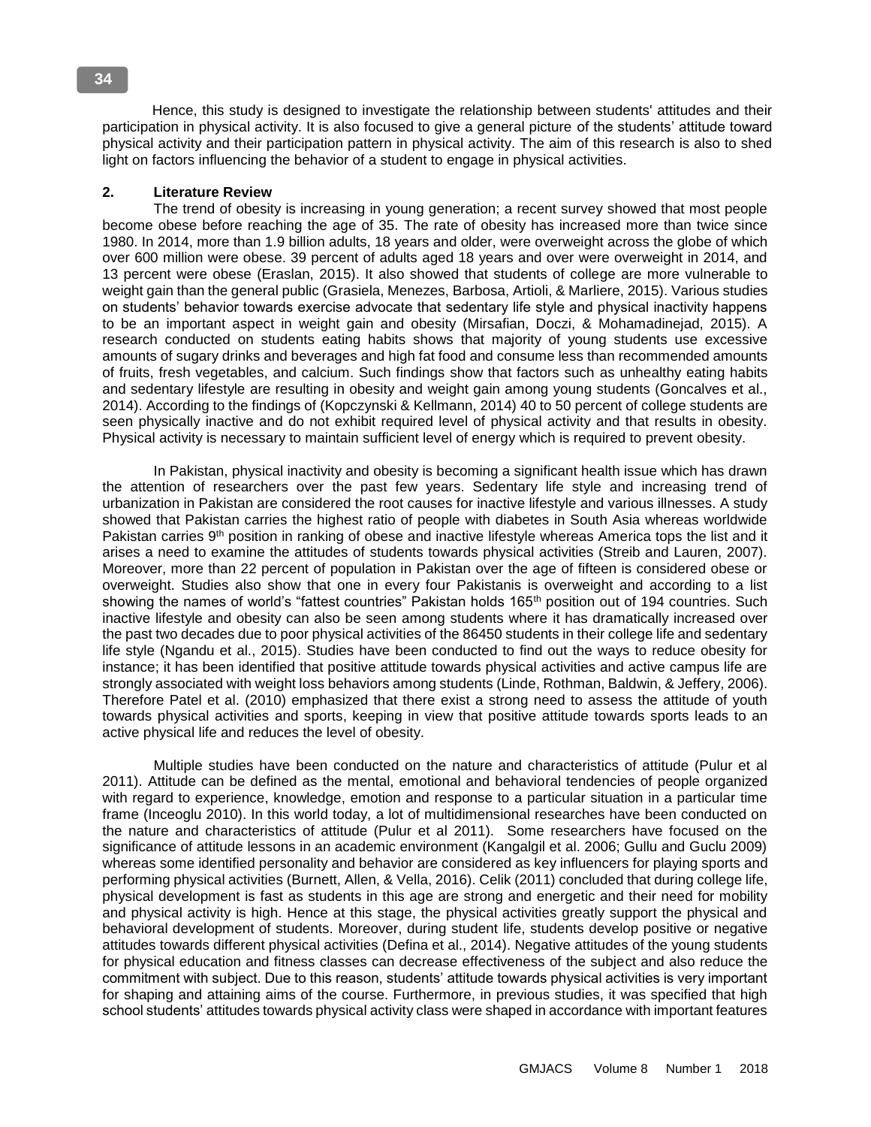Hence, this study is designed to investigate the relationship between students' attitudes and their participation in physical activity. It is also focused to give a general picture of the students' attitude toward physical activity and their participation pattern in physical activity. The aim of this research is also to shed light on factors influencing the behavior of a student to engage in physical activities.

# **2. Literature Review**

 The trend of obesity is increasing in young generation; a recent survey showed that most people become obese before reaching the age of 35. The rate of obesity has increased more than twice since 1980. In 2014, more than 1.9 billion adults, 18 years and older, were overweight across the globe of which over 600 million were obese. 39 percent of adults aged 18 years and over were overweight in 2014, and 13 percent were obese (Eraslan, 2015). It also showed that students of college are more vulnerable to weight gain than the general public (Grasiela, Menezes, Barbosa, Artioli, & Marliere, 2015). Various studies on students' behavior towards exercise advocate that sedentary life style and physical inactivity happens to be an important aspect in weight gain and obesity (Mirsafian, Doczi, & Mohamadinejad, 2015). A research conducted on students eating habits shows that majority of young students use excessive amounts of sugary drinks and beverages and high fat food and consume less than recommended amounts of fruits, fresh vegetables, and calcium. Such findings show that factors such as unhealthy eating habits and sedentary lifestyle are resulting in obesity and weight gain among young students (Goncalves et al., 2014). According to the findings of (Kopczynski & Kellmann, 2014) 40 to 50 percent of college students are seen physically inactive and do not exhibit required level of physical activity and that results in obesity. Physical activity is necessary to maintain sufficient level of energy which is required to prevent obesity.

 In Pakistan, physical inactivity and obesity is becoming a significant health issue which has drawn the attention of researchers over the past few years. Sedentary life style and increasing trend of urbanization in Pakistan are considered the root causes for inactive lifestyle and various illnesses. A study showed that Pakistan carries the highest ratio of people with diabetes in South Asia whereas worldwide Pakistan carries 9<sup>th</sup> position in ranking of obese and inactive lifestyle whereas America tops the list and it arises a need to examine the attitudes of students towards physical activities (Streib and Lauren, 2007). Moreover, more than 22 percent of population in Pakistan over the age of fifteen is considered obese or overweight. Studies also show that one in every four Pakistanis is overweight and according to a list showing the names of world's "fattest countries" Pakistan holds 165<sup>th</sup> position out of 194 countries. Such inactive lifestyle and obesity can also be seen among students where it has dramatically increased over the past two decades due to poor physical activities of the 86450 students in their college life and sedentary life style (Ngandu et al., 2015). Studies have been conducted to find out the ways to reduce obesity for instance; it has been identified that positive attitude towards physical activities and active campus life are strongly associated with weight loss behaviors among students (Linde, Rothman, Baldwin, & Jeffery, 2006). Therefore Patel et al. (2010) emphasized that there exist a strong need to assess the attitude of youth towards physical activities and sports, keeping in view that positive attitude towards sports leads to an active physical life and reduces the level of obesity.

 Multiple studies have been conducted on the nature and characteristics of attitude (Pulur et al 2011). Attitude can be defined as the mental, emotional and behavioral tendencies of people organized with regard to experience, knowledge, emotion and response to a particular situation in a particular time frame (Inceoglu 2010). In this world today, a lot of multidimensional researches have been conducted on the nature and characteristics of attitude (Pulur et al 2011). Some researchers have focused on the significance of attitude lessons in an academic environment (Kangalgil et al. 2006; Gullu and Guclu 2009) whereas some identified personality and behavior are considered as key influencers for playing sports and performing physical activities (Burnett, Allen, & Vella, 2016). Celik (2011) concluded that during college life, physical development is fast as students in this age are strong and energetic and their need for mobility and physical activity is high. Hence at this stage, the physical activities greatly support the physical and behavioral development of students. Moreover, during student life, students develop positive or negative attitudes towards different physical activities (Defina et al., 2014). Negative attitudes of the young students for physical education and fitness classes can decrease effectiveness of the subject and also reduce the commitment with subject. Due to this reason, students' attitude towards physical activities is very important for shaping and attaining aims of the course. Furthermore, in previous studies, it was specified that high school students' attitudes towards physical activity class were shaped in accordance with important features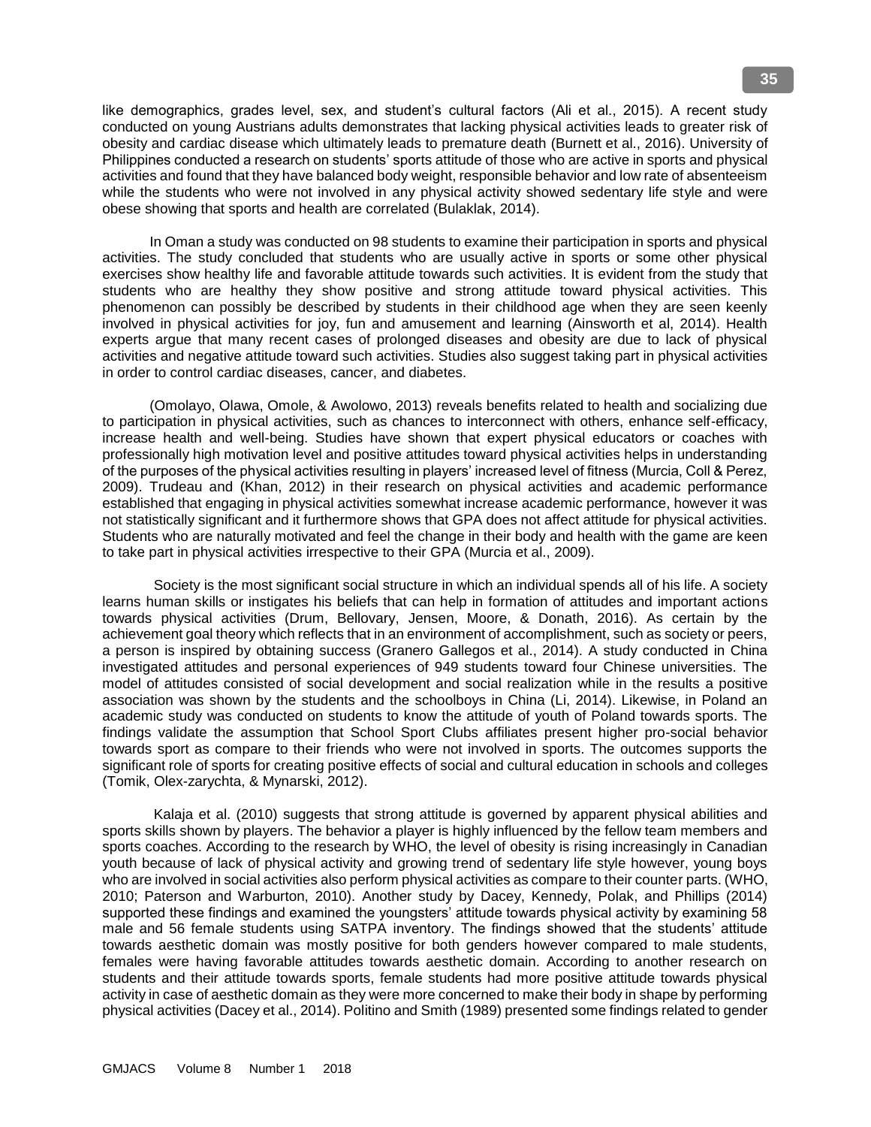like demographics, grades level, sex, and student's cultural factors (Ali et al., 2015). A recent study conducted on young Austrians adults demonstrates that lacking physical activities leads to greater risk of obesity and cardiac disease which ultimately leads to premature death (Burnett et al., 2016). University of Philippines conducted a research on students' sports attitude of those who are active in sports and physical activities and found that they have balanced body weight, responsible behavior and low rate of absenteeism while the students who were not involved in any physical activity showed sedentary life style and were obese showing that sports and health are correlated (Bulaklak, 2014).

 In Oman a study was conducted on 98 students to examine their participation in sports and physical activities. The study concluded that students who are usually active in sports or some other physical exercises show healthy life and favorable attitude towards such activities. It is evident from the study that students who are healthy they show positive and strong attitude toward physical activities. This phenomenon can possibly be described by students in their childhood age when they are seen keenly involved in physical activities for joy, fun and amusement and learning (Ainsworth et al, 2014). Health experts argue that many recent cases of prolonged diseases and obesity are due to lack of physical activities and negative attitude toward such activities. Studies also suggest taking part in physical activities in order to control cardiac diseases, cancer, and diabetes.

 (Omolayo, Olawa, Omole, & Awolowo, 2013) reveals benefits related to health and socializing due to participation in physical activities, such as chances to interconnect with others, enhance self-efficacy, increase health and well-being. Studies have shown that expert physical educators or coaches with professionally high motivation level and positive attitudes toward physical activities helps in understanding of the purposes of the physical activities resulting in players' increased level of fitness (Murcia, Coll & Perez, 2009). Trudeau and (Khan, 2012) in their research on physical activities and academic performance established that engaging in physical activities somewhat increase academic performance, however it was not statistically significant and it furthermore shows that GPA does not affect attitude for physical activities. Students who are naturally motivated and feel the change in their body and health with the game are keen to take part in physical activities irrespective to their GPA (Murcia et al., 2009).

 Society is the most significant social structure in which an individual spends all of his life. A society learns human skills or instigates his beliefs that can help in formation of attitudes and important actions towards physical activities (Drum, Bellovary, Jensen, Moore, & Donath, 2016). As certain by the achievement goal theory which reflects that in an environment of accomplishment, such as society or peers, a person is inspired by obtaining success (Granero Gallegos et al., 2014). A study conducted in China investigated attitudes and personal experiences of 949 students toward four Chinese universities. The model of attitudes consisted of social development and social realization while in the results a positive association was shown by the students and the schoolboys in China (Li, 2014). Likewise, in Poland an academic study was conducted on students to know the attitude of youth of Poland towards sports. The findings validate the assumption that School Sport Clubs affiliates present higher pro-social behavior towards sport as compare to their friends who were not involved in sports. The outcomes supports the significant role of sports for creating positive effects of social and cultural education in schools and colleges (Tomik, Olex-zarychta, & Mynarski, 2012).

 Kalaja et al. (2010) suggests that strong attitude is governed by apparent physical abilities and sports skills shown by players. The behavior a player is highly influenced by the fellow team members and sports coaches. According to the research by WHO, the level of obesity is rising increasingly in Canadian youth because of lack of physical activity and growing trend of sedentary life style however, young boys who are involved in social activities also perform physical activities as compare to their counter parts. (WHO, 2010; Paterson and Warburton, 2010). Another study by Dacey, Kennedy, Polak, and Phillips (2014) supported these findings and examined the youngsters' attitude towards physical activity by examining 58 male and 56 female students using SATPA inventory. The findings showed that the students' attitude towards aesthetic domain was mostly positive for both genders however compared to male students, females were having favorable attitudes towards aesthetic domain. According to another research on students and their attitude towards sports, female students had more positive attitude towards physical activity in case of aesthetic domain as they were more concerned to make their body in shape by performing physical activities (Dacey et al., 2014). Politino and Smith (1989) presented some findings related to gender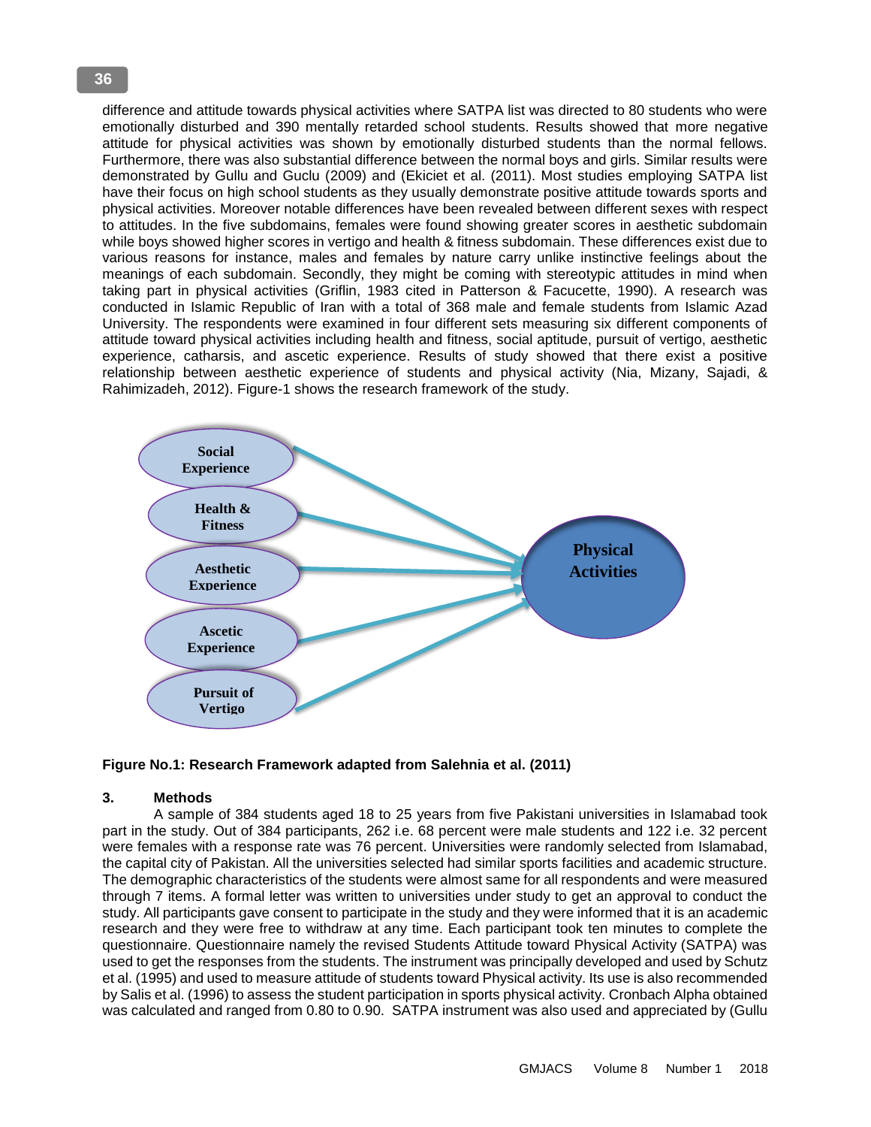difference and attitude towards physical activities where SATPA list was directed to 80 students who were emotionally disturbed and 390 mentally retarded school students. Results showed that more negative attitude for physical activities was shown by emotionally disturbed students than the normal fellows. Furthermore, there was also substantial difference between the normal boys and girls. Similar results were demonstrated by Gullu and Guclu (2009) and (Ekiciet et al. (2011). Most studies employing SATPA list have their focus on high school students as they usually demonstrate positive attitude towards sports and physical activities. Moreover notable differences have been revealed between different sexes with respect to attitudes. In the five subdomains, females were found showing greater scores in aesthetic subdomain while boys showed higher scores in vertigo and health & fitness subdomain. These differences exist due to various reasons for instance, males and females by nature carry unlike instinctive feelings about the meanings of each subdomain. Secondly, they might be coming with stereotypic attitudes in mind when taking part in physical activities (Griflin, 1983 cited in Patterson & Facucette, 1990). A research was conducted in Islamic Republic of Iran with a total of 368 male and female students from Islamic Azad University. The respondents were examined in four different sets measuring six different components of attitude toward physical activities including health and fitness, social aptitude, pursuit of vertigo, aesthetic experience, catharsis, and ascetic experience. Results of study showed that there exist a positive relationship between aesthetic experience of students and physical activity (Nia, Mizany, Sajadi, & Rahimizadeh, 2012). Figure-1 shows the research framework of the study.



**Figure No.1: Research Framework adapted from Salehnia et al. (2011)**

# **3. Methods**

A sample of 384 students aged 18 to 25 years from five Pakistani universities in Islamabad took part in the study. Out of 384 participants, 262 i.e. 68 percent were male students and 122 i.e. 32 percent were females with a response rate was 76 percent. Universities were randomly selected from Islamabad, the capital city of Pakistan. All the universities selected had similar sports facilities and academic structure. The demographic characteristics of the students were almost same for all respondents and were measured through 7 items. A formal letter was written to universities under study to get an approval to conduct the study. All participants gave consent to participate in the study and they were informed that it is an academic research and they were free to withdraw at any time. Each participant took ten minutes to complete the questionnaire. Questionnaire namely the revised Students Attitude toward Physical Activity (SATPA) was used to get the responses from the students. The instrument was principally developed and used by Schutz et al. (1995) and used to measure attitude of students toward Physical activity. Its use is also recommended by Salis et al. (1996) to assess the student participation in sports physical activity. Cronbach Alpha obtained was calculated and ranged from 0.80 to 0.90. SATPA instrument was also used and appreciated by (Gullu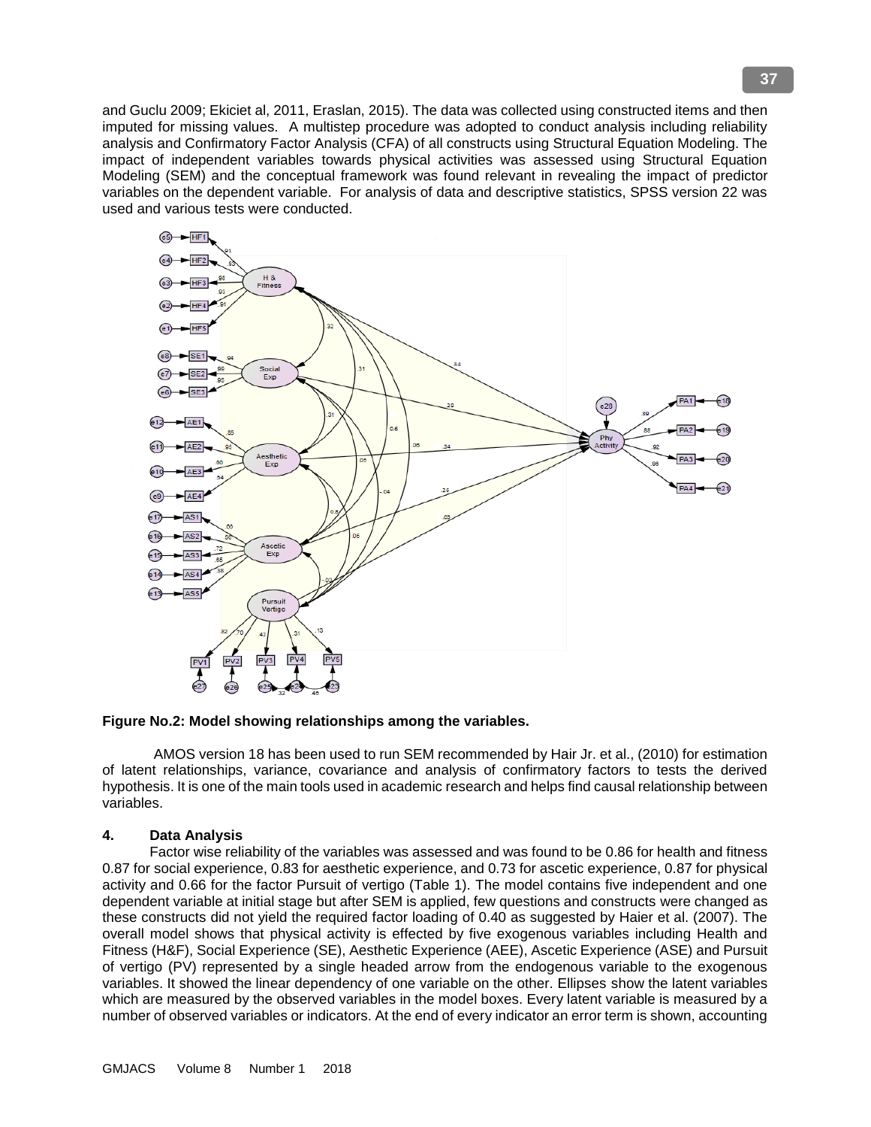and Guclu 2009; Ekiciet al, 2011, Eraslan, 2015). The data was collected using constructed items and then imputed for missing values. A multistep procedure was adopted to conduct analysis including reliability analysis and Confirmatory Factor Analysis (CFA) of all constructs using Structural Equation Modeling. The impact of independent variables towards physical activities was assessed using Structural Equation Modeling (SEM) and the conceptual framework was found relevant in revealing the impact of predictor variables on the dependent variable. For analysis of data and descriptive statistics, SPSS version 22 was used and various tests were conducted.



**Figure No.2: Model showing relationships among the variables.**

 AMOS version 18 has been used to run SEM recommended by Hair Jr. et al., (2010) for estimation of latent relationships, variance, covariance and analysis of confirmatory factors to tests the derived hypothesis. It is one of the main tools used in academic research and helps find causal relationship between variables.

# **4. Data Analysis**

 Factor wise reliability of the variables was assessed and was found to be 0.86 for health and fitness 0.87 for social experience, 0.83 for aesthetic experience, and 0.73 for ascetic experience, 0.87 for physical activity and 0.66 for the factor Pursuit of vertigo (Table 1). The model contains five independent and one dependent variable at initial stage but after SEM is applied, few questions and constructs were changed as these constructs did not yield the required factor loading of 0.40 as suggested by Haier et al. (2007). The overall model shows that physical activity is effected by five exogenous variables including Health and Fitness (H&F), Social Experience (SE), Aesthetic Experience (AEE), Ascetic Experience (ASE) and Pursuit of vertigo (PV) represented by a single headed arrow from the endogenous variable to the exogenous variables. It showed the linear dependency of one variable on the other. Ellipses show the latent variables which are measured by the observed variables in the model boxes. Every latent variable is measured by a number of observed variables or indicators. At the end of every indicator an error term is shown, accounting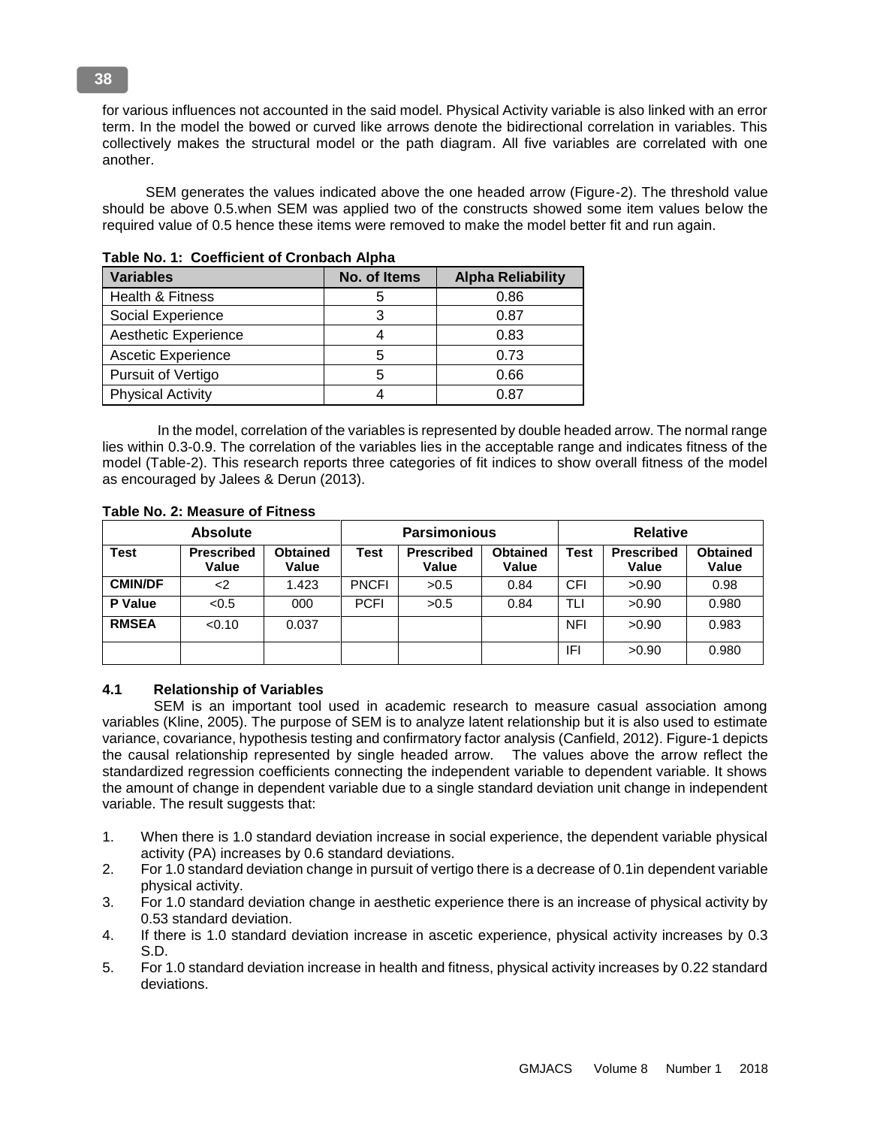for various influences not accounted in the said model. Physical Activity variable is also linked with an error term. In the model the bowed or curved like arrows denote the bidirectional correlation in variables. This collectively makes the structural model or the path diagram. All five variables are correlated with one another.

 SEM generates the values indicated above the one headed arrow (Figure-2). The threshold value should be above 0.5.when SEM was applied two of the constructs showed some item values below the required value of 0.5 hence these items were removed to make the model better fit and run again.

| Table No. 1. Occulent of Chompach Alpha |              |                          |  |  |  |  |
|-----------------------------------------|--------------|--------------------------|--|--|--|--|
| <b>Variables</b>                        | No. of Items | <b>Alpha Reliability</b> |  |  |  |  |
| Health & Fitness                        |              | 0.86                     |  |  |  |  |
| Social Experience                       |              | 0.87                     |  |  |  |  |
| Aesthetic Experience                    |              | 0.83                     |  |  |  |  |
| <b>Ascetic Experience</b>               | 5            | 0.73                     |  |  |  |  |
| Pursuit of Vertigo                      | 5            | 0.66                     |  |  |  |  |
| <b>Physical Activity</b>                |              | 0.87                     |  |  |  |  |

**Table No. 1: Coefficient of Cronbach Alpha** 

 In the model, correlation of the variables is represented by double headed arrow. The normal range lies within 0.3-0.9. The correlation of the variables lies in the acceptable range and indicates fitness of the model (Table-2). This research reports three categories of fit indices to show overall fitness of the model as encouraged by Jalees & Derun (2013).

| <b>Absolute</b> |                            |                          | <b>Parsimonious</b> |                            |                          | <b>Relative</b> |                            |                          |
|-----------------|----------------------------|--------------------------|---------------------|----------------------------|--------------------------|-----------------|----------------------------|--------------------------|
| <b>Test</b>     | <b>Prescribed</b><br>Value | <b>Obtained</b><br>Value | <b>Test</b>         | <b>Prescribed</b><br>Value | <b>Obtained</b><br>Value | Test            | <b>Prescribed</b><br>Value | <b>Obtained</b><br>Value |
| <b>CMIN/DF</b>  | <2                         | 1.423                    | <b>PNCFI</b>        | >0.5                       | 0.84                     | CFI             | >0.90                      | 0.98                     |
| <b>P</b> Value  | <0.5                       | 000                      | <b>PCFI</b>         | >0.5                       | 0.84                     | TLI             | >0.90                      | 0.980                    |
| <b>RMSEA</b>    | < 0.10                     | 0.037                    |                     |                            |                          | <b>NFI</b>      | >0.90                      | 0.983                    |
|                 |                            |                          |                     |                            |                          | IFI             | >0.90                      | 0.980                    |

# **Table No. 2: Measure of Fitness**

# **4.1 Relationship of Variables**

 SEM is an important tool used in academic research to measure casual association among variables (Kline, 2005). The purpose of SEM is to analyze latent relationship but it is also used to estimate variance, covariance, hypothesis testing and confirmatory factor analysis (Canfield, 2012). Figure-1 depicts the causal relationship represented by single headed arrow. The values above the arrow reflect the standardized regression coefficients connecting the independent variable to dependent variable. It shows the amount of change in dependent variable due to a single standard deviation unit change in independent variable. The result suggests that:

- 1. When there is 1.0 standard deviation increase in social experience, the dependent variable physical activity (PA) increases by 0.6 standard deviations.
- 2. For 1.0 standard deviation change in pursuit of vertigo there is a decrease of 0.1in dependent variable physical activity.
- 3. For 1.0 standard deviation change in aesthetic experience there is an increase of physical activity by 0.53 standard deviation.
- 4. If there is 1.0 standard deviation increase in ascetic experience, physical activity increases by 0.3 S.D.
- 5. For 1.0 standard deviation increase in health and fitness, physical activity increases by 0.22 standard deviations.

**38**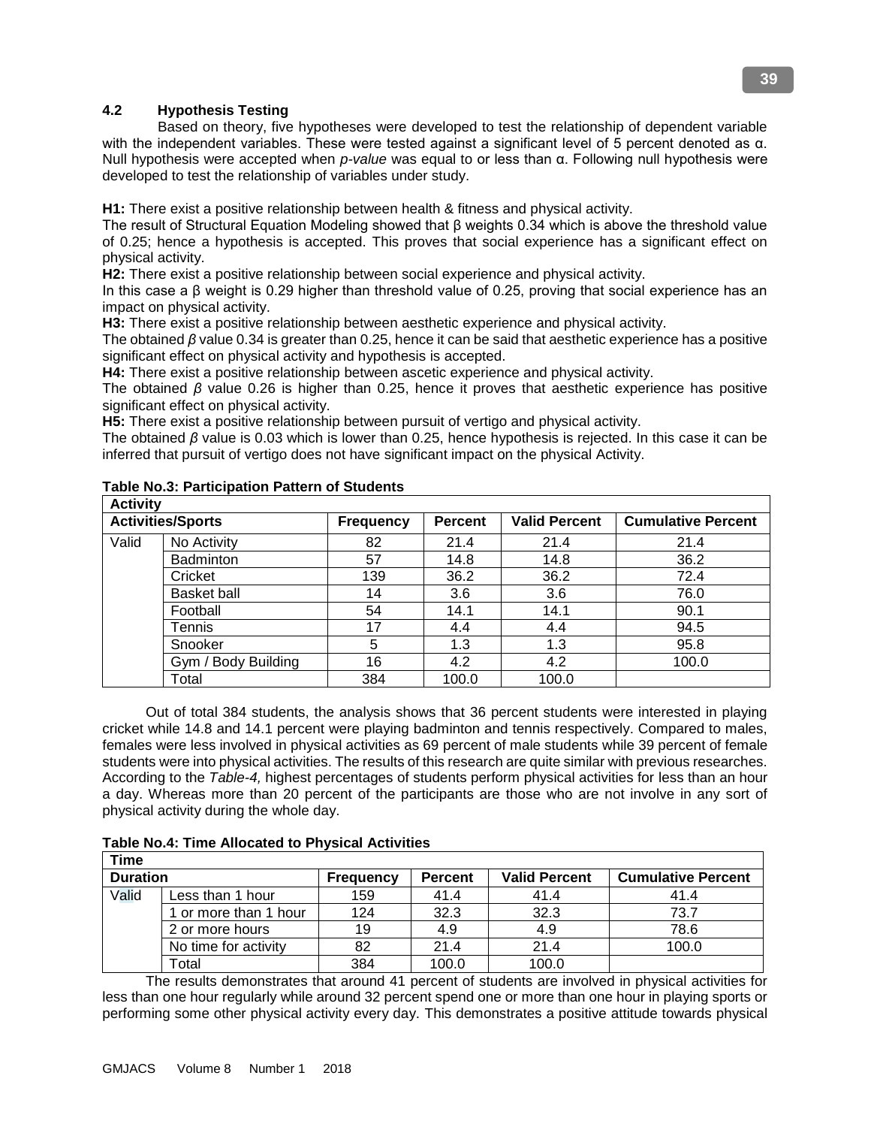# **4.2 Hypothesis Testing**

 Based on theory, five hypotheses were developed to test the relationship of dependent variable with the independent variables. These were tested against a significant level of 5 percent denoted as α. Null hypothesis were accepted when *p-value* was equal to or less than α. Following null hypothesis were developed to test the relationship of variables under study.

**H1:** There exist a positive relationship between health & fitness and physical activity.

The result of Structural Equation Modeling showed that β weights 0.34 which is above the threshold value of 0.25; hence a hypothesis is accepted. This proves that social experience has a significant effect on physical activity.

**H2:** There exist a positive relationship between social experience and physical activity.

In this case a β weight is 0.29 higher than threshold value of 0.25, proving that social experience has an impact on physical activity.

**H3:** There exist a positive relationship between aesthetic experience and physical activity.

The obtained *β* value 0.34 is greater than 0.25, hence it can be said that aesthetic experience has a positive significant effect on physical activity and hypothesis is accepted.

**H4:** There exist a positive relationship between ascetic experience and physical activity.

The obtained *β* value 0.26 is higher than 0.25, hence it proves that aesthetic experience has positive significant effect on physical activity.

**H5:** There exist a positive relationship between pursuit of vertigo and physical activity.

The obtained *β* value is 0.03 which is lower than 0.25, hence hypothesis is rejected. In this case it can be inferred that pursuit of vertigo does not have significant impact on the physical Activity.

| <b>Activity</b> |                          |                  |                |                      |                           |  |
|-----------------|--------------------------|------------------|----------------|----------------------|---------------------------|--|
|                 | <b>Activities/Sports</b> | <b>Frequency</b> | <b>Percent</b> | <b>Valid Percent</b> | <b>Cumulative Percent</b> |  |
| Valid           | No Activity              | 82               | 21.4           | 21.4                 | 21.4                      |  |
|                 | <b>Badminton</b>         | 57               | 14.8           | 14.8                 | 36.2                      |  |
|                 | Cricket                  | 139              | 36.2           | 36.2                 | 72.4                      |  |
|                 | <b>Basket ball</b>       | 14               | 3.6            | 3.6                  | 76.0                      |  |
|                 | Football                 | 54               | 14.1           | 14.1                 | 90.1                      |  |
|                 | Tennis                   | 17               | 4.4            | 4.4                  | 94.5                      |  |
|                 | Snooker                  | 5                | 1.3            | 1.3                  | 95.8                      |  |
|                 | Gym / Body Building      | 16               | 4.2            | 4.2                  | 100.0                     |  |
|                 | Total                    | 384              | 100.0          | 100.0                |                           |  |

# **Table No.3: Participation Pattern of Students**

 Out of total 384 students, the analysis shows that 36 percent students were interested in playing cricket while 14.8 and 14.1 percent were playing badminton and tennis respectively. Compared to males, females were less involved in physical activities as 69 percent of male students while 39 percent of female students were into physical activities. The results of this research are quite similar with previous researches. According to the *Table-4,* highest percentages of students perform physical activities for less than an hour a day. Whereas more than 20 percent of the participants are those who are not involve in any sort of physical activity during the whole day.

|  | <b>Table No.4: Time Allocated to Physical Activities</b> |  |  |
|--|----------------------------------------------------------|--|--|
|--|----------------------------------------------------------|--|--|

| Time            |                       |                  |                |                      |                           |  |
|-----------------|-----------------------|------------------|----------------|----------------------|---------------------------|--|
| <b>Duration</b> |                       | <b>Frequency</b> | <b>Percent</b> | <b>Valid Percent</b> | <b>Cumulative Percent</b> |  |
| Valid           | Less than 1 hour      | 159              | 41.4           | 41.4                 | 41.4                      |  |
|                 | 1 or more than 1 hour | 124              | 32.3           | 32.3                 | 73.7                      |  |
|                 | 2 or more hours       | 19               | 4.9            | 4.9                  | 78.6                      |  |
|                 | No time for activity  | 82               | 21.4           | 21.4                 | 100.0                     |  |
|                 | Total                 | 384              | 100.0          | 100.0                |                           |  |

 The results demonstrates that around 41 percent of students are involved in physical activities for less than one hour regularly while around 32 percent spend one or more than one hour in playing sports or performing some other physical activity every day. This demonstrates a positive attitude towards physical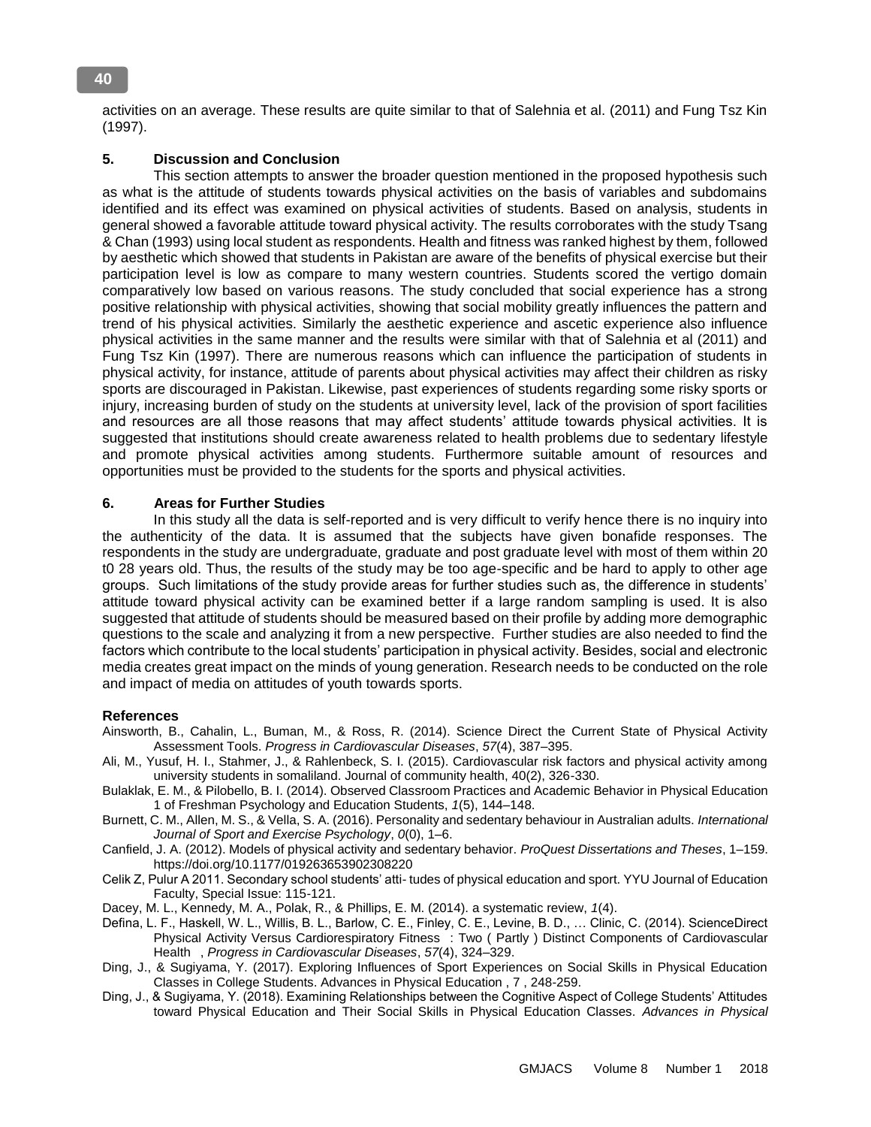activities on an average. These results are quite similar to that of Salehnia et al. (2011) and Fung Tsz Kin (1997).

# **5. Discussion and Conclusion**

 This section attempts to answer the broader question mentioned in the proposed hypothesis such as what is the attitude of students towards physical activities on the basis of variables and subdomains identified and its effect was examined on physical activities of students. Based on analysis, students in general showed a favorable attitude toward physical activity. The results corroborates with the study Tsang & Chan (1993) using local student as respondents. Health and fitness was ranked highest by them, followed by aesthetic which showed that students in Pakistan are aware of the benefits of physical exercise but their participation level is low as compare to many western countries. Students scored the vertigo domain comparatively low based on various reasons. The study concluded that social experience has a strong positive relationship with physical activities, showing that social mobility greatly influences the pattern and trend of his physical activities. Similarly the aesthetic experience and ascetic experience also influence physical activities in the same manner and the results were similar with that of Salehnia et al (2011) and Fung Tsz Kin (1997). There are numerous reasons which can influence the participation of students in physical activity, for instance, attitude of parents about physical activities may affect their children as risky sports are discouraged in Pakistan. Likewise, past experiences of students regarding some risky sports or injury, increasing burden of study on the students at university level, lack of the provision of sport facilities and resources are all those reasons that may affect students' attitude towards physical activities. It is suggested that institutions should create awareness related to health problems due to sedentary lifestyle and promote physical activities among students. Furthermore suitable amount of resources and opportunities must be provided to the students for the sports and physical activities.

#### **6. Areas for Further Studies**

 In this study all the data is self-reported and is very difficult to verify hence there is no inquiry into the authenticity of the data. It is assumed that the subjects have given bonafide responses. The respondents in the study are undergraduate, graduate and post graduate level with most of them within 20 t0 28 years old. Thus, the results of the study may be too age-specific and be hard to apply to other age groups. Such limitations of the study provide areas for further studies such as, the difference in students' attitude toward physical activity can be examined better if a large random sampling is used. It is also suggested that attitude of students should be measured based on their profile by adding more demographic questions to the scale and analyzing it from a new perspective. Further studies are also needed to find the factors which contribute to the local students' participation in physical activity. Besides, social and electronic media creates great impact on the minds of young generation. Research needs to be conducted on the role and impact of media on attitudes of youth towards sports.

#### **References**

- Ainsworth, B., Cahalin, L., Buman, M., & Ross, R. (2014). Science Direct the Current State of Physical Activity Assessment Tools. *Progress in Cardiovascular Diseases*, *57*(4), 387–395.
- Ali, M., Yusuf, H. I., Stahmer, J., & Rahlenbeck, S. I. (2015). Cardiovascular risk factors and physical activity among university students in somaliland. Journal of community health, 40(2), 326-330.
- Bulaklak, E. M., & Pilobello, B. I. (2014). Observed Classroom Practices and Academic Behavior in Physical Education 1 of Freshman Psychology and Education Students, *1*(5), 144–148.
- Burnett, C. M., Allen, M. S., & Vella, S. A. (2016). Personality and sedentary behaviour in Australian adults. *International Journal of Sport and Exercise Psychology*, *0*(0), 1–6.
- Canfield, J. A. (2012). Models of physical activity and sedentary behavior. *ProQuest Dissertations and Theses*, 1–159. https://doi.org/10.1177/019263653902308220
- Celik Z, Pulur A 2011. Secondary school students' atti- tudes of physical education and sport. YYU Journal of Education Faculty, Special Issue: 115-121.
- Dacey, M. L., Kennedy, M. A., Polak, R., & Phillips, E. M. (2014). a systematic review, *1*(4).
- Defina, L. F., Haskell, W. L., Willis, B. L., Barlow, C. E., Finley, C. E., Levine, B. D., … Clinic, C. (2014). ScienceDirect Physical Activity Versus Cardiorespiratory Fitness : Two ( Partly ) Distinct Components of Cardiovascular Health , *Progress in Cardiovascular Diseases*, *57*(4), 324–329.
- Ding, J., & Sugiyama, Y. (2017). Exploring Influences of Sport Experiences on Social Skills in Physical Education Classes in College Students. Advances in Physical Education , 7 , 248-259.
- Ding, J., & Sugiyama, Y. (2018). Examining Relationships between the Cognitive Aspect of College Students' Attitudes toward Physical Education and Their Social Skills in Physical Education Classes. *Advances in Physical*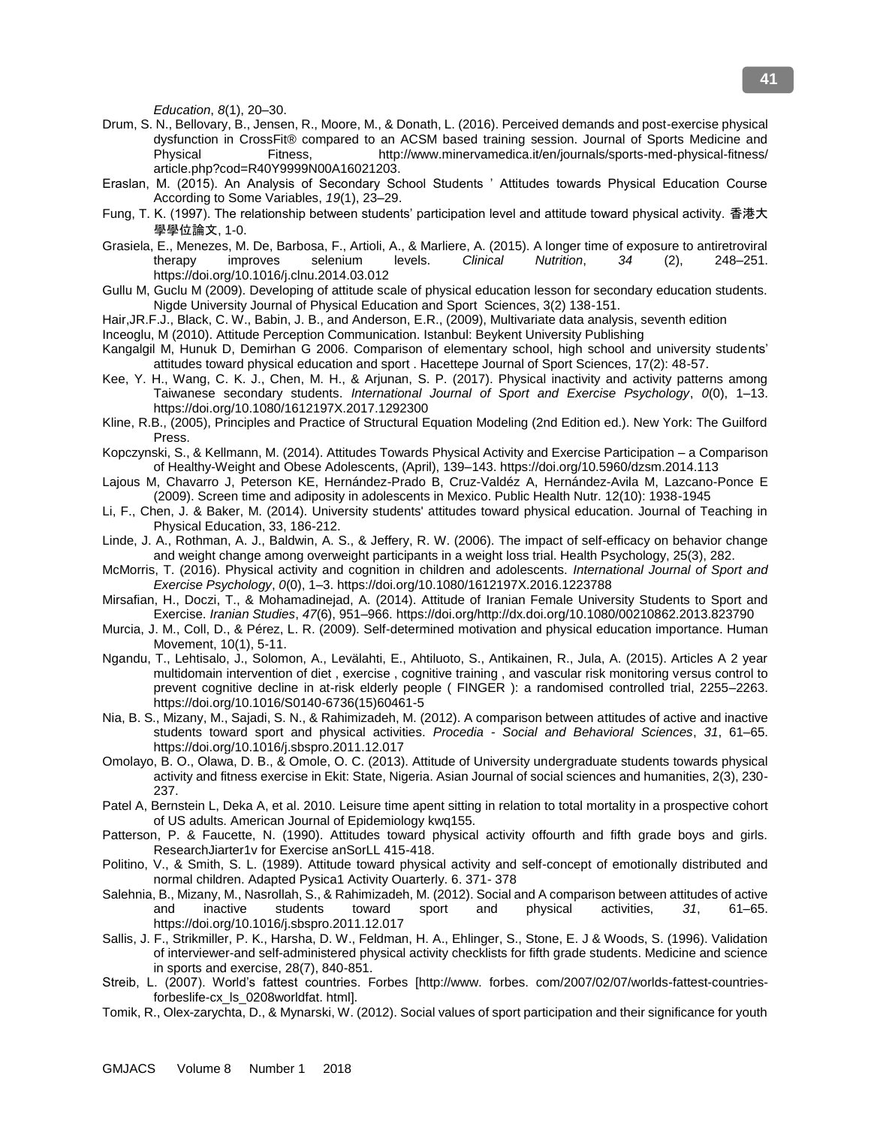*Education*, *8*(1), 20–30.

- Drum, S. N., Bellovary, B., Jensen, R., Moore, M., & Donath, L. (2016). Perceived demands and post-exercise physical dysfunction in CrossFit® compared to an ACSM based training session. Journal of Sports Medicine and Physical Fitness, http://www.minervamedica.it/en/journals/sports-med-physical-fitness/ article.php?cod=R40Y9999N00A16021203.
- Eraslan, M. (2015). An Analysis of Secondary School Students ' Attitudes towards Physical Education Course According to Some Variables, *19*(1), 23–29.
- Fung, T. K. (1997). The relationship between students' participation level and attitude toward physical activity. 香港大 學學位論文, 1-0.
- Grasiela, E., Menezes, M. De, Barbosa, F., Artioli, A., & Marliere, A. (2015). A longer time of exposure to antiretroviral therapy improves selenium levels. *Clinical Nutrition*, *34* (2), 248–251. https://doi.org/10.1016/j.clnu.2014.03.012
- Gullu M, Guclu M (2009). Developing of attitude scale of physical education lesson for secondary education students. Nigde University Journal of Physical Education and Sport Sciences, 3(2) 138-151.
- Hair,JR.F.J., Black, C. W., Babin, J. B., and Anderson, E.R., (2009), Multivariate data analysis, seventh edition

Inceoglu, M (2010). Attitude Perception Communication. Istanbul: Beykent University Publishing

- Kangalgil M, Hunuk D, Demirhan G 2006. Comparison of elementary school, high school and university students' attitudes toward physical education and sport . Hacettepe Journal of Sport Sciences, 17(2): 48-57.
- Kee, Y. H., Wang, C. K. J., Chen, M. H., & Arjunan, S. P. (2017). Physical inactivity and activity patterns among Taiwanese secondary students. *International Journal of Sport and Exercise Psychology*, *0*(0), 1–13. https://doi.org/10.1080/1612197X.2017.1292300
- Kline, R.B., (2005), Principles and Practice of Structural Equation Modeling (2nd Edition ed.). New York: The Guilford Press.
- Kopczynski, S., & Kellmann, M. (2014). Attitudes Towards Physical Activity and Exercise Participation a Comparison of Healthy-Weight and Obese Adolescents, (April), 139–143. https://doi.org/10.5960/dzsm.2014.113
- Lajous M, Chavarro J, Peterson KE, Hernández-Prado B, Cruz-Valdéz A, Hernández-Avila M, Lazcano-Ponce E (2009). Screen time and adiposity in adolescents in Mexico. Public Health Nutr. 12(10): 1938-1945
- Li, F., Chen, J. & Baker, M. (2014). University students' attitudes toward physical education. Journal of Teaching in Physical Education, 33, 186-212.
- Linde, J. A., Rothman, A. J., Baldwin, A. S., & Jeffery, R. W. (2006). The impact of self-efficacy on behavior change and weight change among overweight participants in a weight loss trial. Health Psychology, 25(3), 282.
- McMorris, T. (2016). Physical activity and cognition in children and adolescents. *International Journal of Sport and Exercise Psychology*, *0*(0), 1–3. https://doi.org/10.1080/1612197X.2016.1223788
- Mirsafian, H., Doczi, T., & Mohamadinejad, A. (2014). Attitude of Iranian Female University Students to Sport and Exercise. *Iranian Studies*, *47*(6), 951–966. https://doi.org/http://dx.doi.org/10.1080/00210862.2013.823790
- Murcia, J. M., Coll, D., & Pérez, L. R. (2009). Self-determined motivation and physical education importance. Human Movement, 10(1), 5-11.
- Ngandu, T., Lehtisalo, J., Solomon, A., Levälahti, E., Ahtiluoto, S., Antikainen, R., Jula, A. (2015). Articles A 2 year multidomain intervention of diet , exercise , cognitive training , and vascular risk monitoring versus control to prevent cognitive decline in at-risk elderly people ( FINGER ): a randomised controlled trial, 2255–2263. https://doi.org/10.1016/S0140-6736(15)60461-5
- Nia, B. S., Mizany, M., Sajadi, S. N., & Rahimizadeh, M. (2012). A comparison between attitudes of active and inactive students toward sport and physical activities. *Procedia - Social and Behavioral Sciences*, *31*, 61–65. https://doi.org/10.1016/j.sbspro.2011.12.017
- Omolayo, B. O., Olawa, D. B., & Omole, O. C. (2013). Attitude of University undergraduate students towards physical activity and fitness exercise in Ekit: State, Nigeria. Asian Journal of social sciences and humanities, 2(3), 230- 237.
- Patel A, Bernstein L, Deka A, et al. 2010. Leisure time apent sitting in relation to total mortality in a prospective cohort of US adults. American Journal of Epidemiology kwq155.
- Patterson, P. & Faucette, N. (1990). Attitudes toward physical activity offourth and fifth grade boys and girls. ResearchJiarter1v for Exercise anSorLL 415-418.
- Politino, V., & Smith, S. L. (1989). Attitude toward physical activity and self-concept of emotionally distributed and normal children. Adapted Pysica1 Activity Ouarterly. 6. 371- 378
- Salehnia, B., Mizany, M., Nasrollah, S., & Rahimizadeh, M. (2012). Social and A comparison between attitudes of active and inactive students toward sport and physical activities, *31*, 61–65. https://doi.org/10.1016/j.sbspro.2011.12.017
- Sallis, J. F., Strikmiller, P. K., Harsha, D. W., Feldman, H. A., Ehlinger, S., Stone, E. J & Woods, S. (1996). Validation of interviewer-and self-administered physical activity checklists for fifth grade students. Medicine and science in sports and exercise, 28(7), 840-851.
- Streib, L. (2007). World's fattest countries. Forbes [http://www. forbes. com/2007/02/07/worlds-fattest-countriesforbeslife-cx\_ls\_0208worldfat. html].
- Tomik, R., Olex-zarychta, D., & Mynarski, W. (2012). Social values of sport participation and their significance for youth